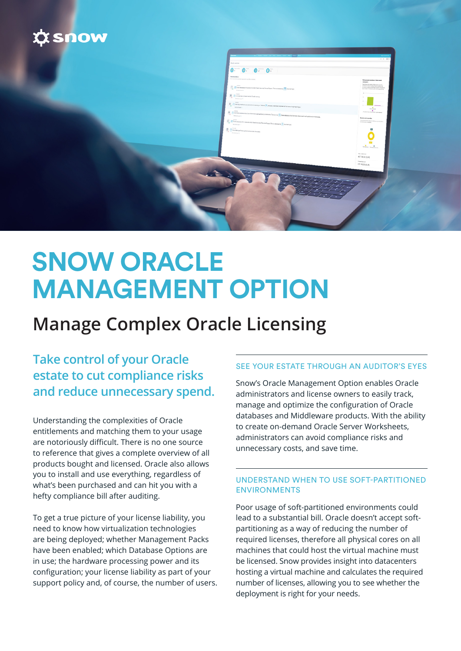

| an heat from the first ten for the property                                                                                                                                                                                                                                                                                                                                                                                                                                                                                        | $\sim$ Apply because<br>$9.5 - 8.1$                                                                                                                                                                                                                                                                                                                                                                                                                                                                                                         |
|------------------------------------------------------------------------------------------------------------------------------------------------------------------------------------------------------------------------------------------------------------------------------------------------------------------------------------------------------------------------------------------------------------------------------------------------------------------------------------------------------------------------------------|---------------------------------------------------------------------------------------------------------------------------------------------------------------------------------------------------------------------------------------------------------------------------------------------------------------------------------------------------------------------------------------------------------------------------------------------------------------------------------------------------------------------------------------------|
| Oschosnice                                                                                                                                                                                                                                                                                                                                                                                                                                                                                                                         |                                                                                                                                                                                                                                                                                                                                                                                                                                                                                                                                             |
| $\begin{picture}(20,20) \put(0,0){\line(1,0){10}} \put(15,0){\line(1,0){10}} \put(15,0){\line(1,0){10}} \put(15,0){\line(1,0){10}} \put(15,0){\line(1,0){10}} \put(15,0){\line(1,0){10}} \put(15,0){\line(1,0){10}} \put(15,0){\line(1,0){10}} \put(15,0){\line(1,0){10}} \put(15,0){\line(1,0){10}} \put(15,0){\line(1,0){10}} \put(15,0){\line(1$                                                                                                                                                                                |                                                                                                                                                                                                                                                                                                                                                                                                                                                                                                                                             |
| Petersystem<br>the bit property system and only on your floor and some of                                                                                                                                                                                                                                                                                                                                                                                                                                                          | Endowned overlev of discovered                                                                                                                                                                                                                                                                                                                                                                                                                                                                                                              |
|                                                                                                                                                                                                                                                                                                                                                                                                                                                                                                                                    | consulary<br>East development of the west-common<br>fundamental complete allows the strongers of the strongers of the<br>product surgicity with Challengers of the complete has                                                                                                                                                                                                                                                                                                                                                             |
| $\frac{1}{2}$ , $\frac{1}{2}$ Data decrease the senior la relation relation than Channel Data stresses in $\frac{1}{2}$ are larger.                                                                                                                                                                                                                                                                                                                                                                                                |                                                                                                                                                                                                                                                                                                                                                                                                                                                                                                                                             |
| $\mathbb{E}_{\mathbf{0}} \xrightarrow[\text{Conjecture}] {\rm (inerture)} \mathbb{E}_{\mathbf{0}}$                                                                                                                                                                                                                                                                                                                                                                                                                                 | $\sim$                                                                                                                                                                                                                                                                                                                                                                                                                                                                                                                                      |
|                                                                                                                                                                                                                                                                                                                                                                                                                                                                                                                                    | $\mu$ -                                                                                                                                                                                                                                                                                                                                                                                                                                                                                                                                     |
|                                                                                                                                                                                                                                                                                                                                                                                                                                                                                                                                    | $\overline{\phantom{a}}$<br>$\begin{tabular}{ c c } \hline & & & \\ \hline & & & \\ \hline & & & \\ \hline & & & \\ \hline & & & \\ \hline & & & \\ \hline & & & \\ \hline & & & \\ \hline & & & \\ \hline & & & \\ \hline & & & \\ \hline & & & \\ \hline & & & \\ \hline & & & \\ \hline & & & \\ \hline & & & & \\ \hline & & & & \\ \hline & & & & \\ \hline & & & & \\ \hline & & & & \\ \hline & & & & \\ \hline & & & & \\ \hline & & & & \\ \hline & & & & \\ \hline & & & & \\ \hline & & & & \\ \hline & & & & & \\ \hline & & &$ |
| $\frac{20}{\beta_0}$ . There can explore the theoretic art articles in the set of $\frac{10}{10}$ that determs for best are discovering at actives and experts on the form                                                                                                                                                                                                                                                                                                                                                         | <b>Drawing America</b>                                                                                                                                                                                                                                                                                                                                                                                                                                                                                                                      |
| $\bigoplus_{\mathbf{0}} \bigoplus_{\mathbf{0} \text{ is a nontrivial}} \bigoplus_{\mathbf{0} \text{ is a nontrivial}} \bigoplus_{\mathbf{0} \text{ is a nontrivial}} \bigoplus_{\mathbf{0} \text{ is a nontrivial}} \bigoplus_{\mathbf{0} \text{ is a nontrivial}} \bigoplus_{\mathbf{0} \text{ is a nontrivial}} \bigoplus_{\mathbf{0} \text{ is a nontrivial}} \bigoplus_{\mathbf{0} \text{ is a nontrivial}} \bigoplus_{\mathbf{0} \text{ is a nontrivial}} \bigoplus_{\mathbf{0} \text{ is a nontrivial}} \bigoplus_{\mathbf{$ | <b>Usenz</b> ent pendar<br><b>Burningslashings</b><br><b>Miller Seller a</b><br>collaborate contains.                                                                                                                                                                                                                                                                                                                                                                                                                                       |
|                                                                                                                                                                                                                                                                                                                                                                                                                                                                                                                                    |                                                                                                                                                                                                                                                                                                                                                                                                                                                                                                                                             |
| $\overline{\mathbb{S}}_q$ . $\overline{\mathcal{L}}$ (but<br>this up four spinotrates between $\overline{\mathbb{S}}$                                                                                                                                                                                                                                                                                                                                                                                                              | $\infty$                                                                                                                                                                                                                                                                                                                                                                                                                                                                                                                                    |
|                                                                                                                                                                                                                                                                                                                                                                                                                                                                                                                                    | 0                                                                                                                                                                                                                                                                                                                                                                                                                                                                                                                                           |
|                                                                                                                                                                                                                                                                                                                                                                                                                                                                                                                                    | <b>COL</b><br>$\frac{1}{1-\alpha}$ and $\frac{1}{1-\alpha}$                                                                                                                                                                                                                                                                                                                                                                                                                                                                                 |
|                                                                                                                                                                                                                                                                                                                                                                                                                                                                                                                                    |                                                                                                                                                                                                                                                                                                                                                                                                                                                                                                                                             |
|                                                                                                                                                                                                                                                                                                                                                                                                                                                                                                                                    | This knows of<br>437 762.00 (CLR)                                                                                                                                                                                                                                                                                                                                                                                                                                                                                                           |
|                                                                                                                                                                                                                                                                                                                                                                                                                                                                                                                                    | <b>Driver Plansier</b>                                                                                                                                                                                                                                                                                                                                                                                                                                                                                                                      |
|                                                                                                                                                                                                                                                                                                                                                                                                                                                                                                                                    | 407 782.00 (EUR)                                                                                                                                                                                                                                                                                                                                                                                                                                                                                                                            |
|                                                                                                                                                                                                                                                                                                                                                                                                                                                                                                                                    |                                                                                                                                                                                                                                                                                                                                                                                                                                                                                                                                             |
|                                                                                                                                                                                                                                                                                                                                                                                                                                                                                                                                    |                                                                                                                                                                                                                                                                                                                                                                                                                                                                                                                                             |
|                                                                                                                                                                                                                                                                                                                                                                                                                                                                                                                                    |                                                                                                                                                                                                                                                                                                                                                                                                                                                                                                                                             |
|                                                                                                                                                                                                                                                                                                                                                                                                                                                                                                                                    |                                                                                                                                                                                                                                                                                                                                                                                                                                                                                                                                             |
|                                                                                                                                                                                                                                                                                                                                                                                                                                                                                                                                    |                                                                                                                                                                                                                                                                                                                                                                                                                                                                                                                                             |
|                                                                                                                                                                                                                                                                                                                                                                                                                                                                                                                                    |                                                                                                                                                                                                                                                                                                                                                                                                                                                                                                                                             |
|                                                                                                                                                                                                                                                                                                                                                                                                                                                                                                                                    |                                                                                                                                                                                                                                                                                                                                                                                                                                                                                                                                             |
|                                                                                                                                                                                                                                                                                                                                                                                                                                                                                                                                    |                                                                                                                                                                                                                                                                                                                                                                                                                                                                                                                                             |

# **SNOW ORACLE MANAGEMENT OPTION**

# **Manage Complex Oracle Licensing**

**Take control of your Oracle estate to cut compliance risks and reduce unnecessary spend.**

Understanding the complexities of Oracle entitlements and matching them to your usage are notoriously difficult. There is no one source to reference that gives a complete overview of all products bought and licensed. Oracle also allows you to install and use everything, regardless of what's been purchased and can hit you with a hefty compliance bill after auditing.

To get a true picture of your license liability, you need to know how virtualization technologies are being deployed; whether Management Packs have been enabled; which Database Options are in use; the hardware processing power and its configuration; your license liability as part of your support policy and, of course, the number of users.

#### SEE YOUR ESTATE THROUGH AN AUDITOR'S EYES

Snow's Oracle Management Option enables Oracle administrators and license owners to easily track, manage and optimize the configuration of Oracle databases and Middleware products. With the ability to create on-demand Oracle Server Worksheets, administrators can avoid compliance risks and unnecessary costs, and save time.

#### UNDERSTAND WHEN TO USE SOFT-PARTITIONED ENVIRONMENTS

Poor usage of soft-partitioned environments could lead to a substantial bill. Oracle doesn't accept softpartitioning as a way of reducing the number of required licenses, therefore all physical cores on all machines that could host the virtual machine must be licensed. Snow provides insight into datacenters hosting a virtual machine and calculates the required number of licenses, allowing you to see whether the deployment is right for your needs.